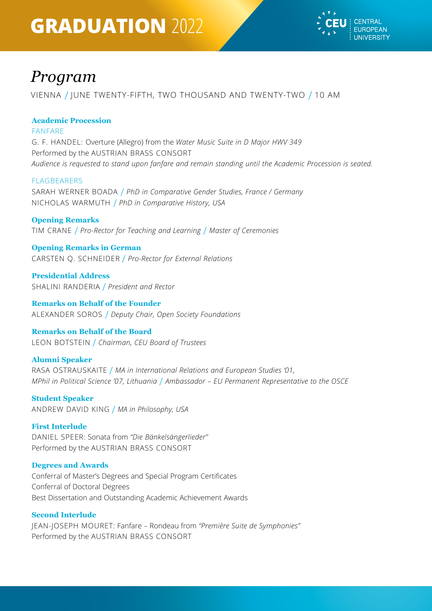# **GRADUATION** 2022



# *Program*

VIENNA / JUNE TWENTY-FIFTH, TWO THOUSAND AND TWENTY-TWO / 10 AM

# **Academic Procession**

FANFARE

G. F. HANDEL: Overture (Allegro) from the *Water Music Suite in D Major HWV 349* Performed by the AUSTRIAN BRASS CONSORT *Audience is requested to stand upon fanfare and remain standing until the Academic Procession is seated.*

### FLAGBEARERS

SARAH WERNER BOADA / *PhD in Comparative Gender Studies, France / Germany* NICHOLAS WARMUTH / *PhD in Comparative History, USA*

### **Opening Remarks**

TIM CRANE / *Pro-Rector for Teaching and Learning* / *Master of Ceremonies*

# **Opening Remarks in German**

CARSTEN Q. SCHNEIDER / *Pro-Rector for External Relations*

**Presidential Address** SHALINI RANDERIA / *President and Rector*

**Remarks on Behalf of the Founder** ALEXANDER SOROS / *Deputy Chair, Open Society Foundations*

# **Remarks on Behalf of the Board**

LEON BOTSTEIN / *Chairman, CEU Board of Trustees*

# **Alumni Speaker**

RASA OSTRAUSKAITE / *MA in International Relations and European Studies '01, MPhil in Political Science '07, Lithuania* / *Ambassador – EU Permanent Representative to the OSCE*

**Student Speaker** ANDREW DAVID KING / *MA in Philosophy, USA*

#### **First Interlude**

DANIEL SPEER: Sonata from *"Die Bänkelsängerlieder"* Performed by the AUSTRIAN BRASS CONSORT

# **Degrees and Awards**

Conferral of Master's Degrees and Special Program Certificates Conferral of Doctoral Degrees Best Dissertation and Outstanding Academic Achievement Awards

# **Second Interlude**

JEAN-JOSEPH MOURET: Fanfare – Rondeau from *"Première Suite de Symphonies"* Performed by the AUSTRIAN BRASS CONSORT